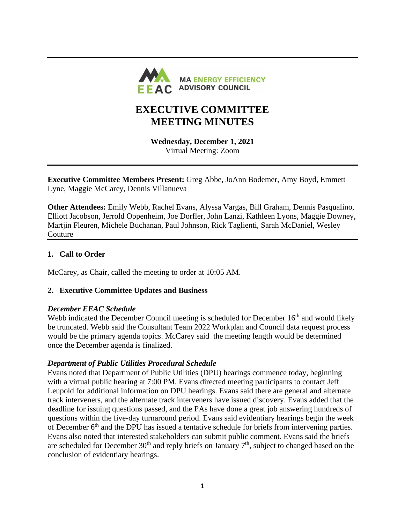

# **EXECUTIVE COMMITTEE MEETING MINUTES**

**Wednesday, December 1, 2021** Virtual Meeting: Zoom

**Executive Committee Members Present:** Greg Abbe, JoAnn Bodemer, Amy Boyd, Emmett Lyne, Maggie McCarey, Dennis Villanueva

**Other Attendees:** Emily Webb, Rachel Evans, Alyssa Vargas, Bill Graham, Dennis Pasqualino, Elliott Jacobson, Jerrold Oppenheim, Joe Dorfler, John Lanzi, Kathleen Lyons, Maggie Downey, Martjin Fleuren, Michele Buchanan, Paul Johnson, Rick Taglienti, Sarah McDaniel, Wesley Couture

#### **1. Call to Order**

McCarey, as Chair, called the meeting to order at 10:05 AM.

#### **2. Executive Committee Updates and Business**

#### *December EEAC Schedule*

Webb indicated the December Council meeting is scheduled for December 16<sup>th</sup> and would likely be truncated. Webb said the Consultant Team 2022 Workplan and Council data request process would be the primary agenda topics. McCarey said the meeting length would be determined once the December agenda is finalized.

#### *Department of Public Utilities Procedural Schedule*

Evans noted that Department of Public Utilities (DPU) hearings commence today, beginning with a virtual public hearing at 7:00 PM. Evans directed meeting participants to contact Jeff Leupold for additional information on DPU hearings. Evans said there are general and alternate track interveners, and the alternate track interveners have issued discovery. Evans added that the deadline for issuing questions passed, and the PAs have done a great job answering hundreds of questions within the five-day turnaround period. Evans said evidentiary hearings begin the week of December 6<sup>th</sup> and the DPU has issued a tentative schedule for briefs from intervening parties. Evans also noted that interested stakeholders can submit public comment. Evans said the briefs are scheduled for December  $30<sup>th</sup>$  and reply briefs on January  $7<sup>th</sup>$ , subject to changed based on the conclusion of evidentiary hearings.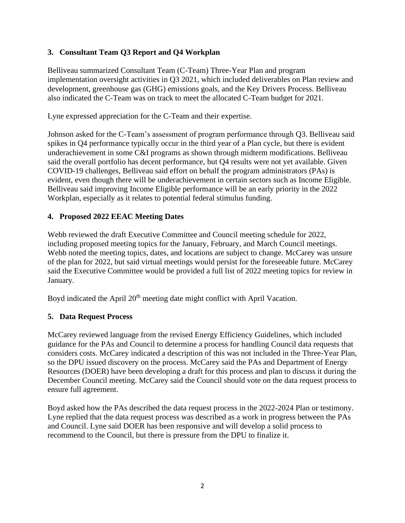## **3. Consultant Team Q3 Report and Q4 Workplan**

Belliveau summarized Consultant Team (C-Team) Three-Year Plan and program implementation oversight activities in Q3 2021, which included deliverables on Plan review and development, greenhouse gas (GHG) emissions goals, and the Key Drivers Process. Belliveau also indicated the C-Team was on track to meet the allocated C-Team budget for 2021.

Lyne expressed appreciation for the C-Team and their expertise.

Johnson asked for the C-Team's assessment of program performance through Q3. Belliveau said spikes in Q4 performance typically occur in the third year of a Plan cycle, but there is evident underachievement in some C&I programs as shown through midterm modifications. Belliveau said the overall portfolio has decent performance, but Q4 results were not yet available. Given COVID-19 challenges, Belliveau said effort on behalf the program administrators (PAs) is evident, even though there will be underachievement in certain sectors such as Income Eligible. Belliveau said improving Income Eligible performance will be an early priority in the 2022 Workplan, especially as it relates to potential federal stimulus funding.

## **4. Proposed 2022 EEAC Meeting Dates**

Webb reviewed the draft Executive Committee and Council meeting schedule for 2022, including proposed meeting topics for the January, February, and March Council meetings. Webb noted the meeting topics, dates, and locations are subject to change. McCarey was unsure of the plan for 2022, but said virtual meetings would persist for the foreseeable future. McCarey said the Executive Committee would be provided a full list of 2022 meeting topics for review in January.

Boyd indicated the April  $20<sup>th</sup>$  meeting date might conflict with April Vacation.

## **5. Data Request Process**

McCarey reviewed language from the revised Energy Efficiency Guidelines, which included guidance for the PAs and Council to determine a process for handling Council data requests that considers costs. McCarey indicated a description of this was not included in the Three-Year Plan, so the DPU issued discovery on the process. McCarey said the PAs and Department of Energy Resources (DOER) have been developing a draft for this process and plan to discuss it during the December Council meeting. McCarey said the Council should vote on the data request process to ensure full agreement.

Boyd asked how the PAs described the data request process in the 2022-2024 Plan or testimony. Lyne replied that the data request process was described as a work in progress between the PAs and Council. Lyne said DOER has been responsive and will develop a solid process to recommend to the Council, but there is pressure from the DPU to finalize it.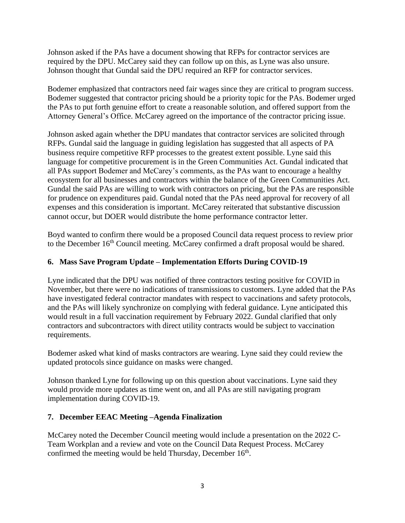Johnson asked if the PAs have a document showing that RFPs for contractor services are required by the DPU. McCarey said they can follow up on this, as Lyne was also unsure. Johnson thought that Gundal said the DPU required an RFP for contractor services.

Bodemer emphasized that contractors need fair wages since they are critical to program success. Bodemer suggested that contractor pricing should be a priority topic for the PAs. Bodemer urged the PAs to put forth genuine effort to create a reasonable solution, and offered support from the Attorney General's Office. McCarey agreed on the importance of the contractor pricing issue.

Johnson asked again whether the DPU mandates that contractor services are solicited through RFPs. Gundal said the language in guiding legislation has suggested that all aspects of PA business require competitive RFP processes to the greatest extent possible. Lyne said this language for competitive procurement is in the Green Communities Act. Gundal indicated that all PAs support Bodemer and McCarey's comments, as the PAs want to encourage a healthy ecosystem for all businesses and contractors within the balance of the Green Communities Act. Gundal the said PAs are willing to work with contractors on pricing, but the PAs are responsible for prudence on expenditures paid. Gundal noted that the PAs need approval for recovery of all expenses and this consideration is important. McCarey reiterated that substantive discussion cannot occur, but DOER would distribute the home performance contractor letter.

Boyd wanted to confirm there would be a proposed Council data request process to review prior to the December 16<sup>th</sup> Council meeting. McCarey confirmed a draft proposal would be shared.

## **6. Mass Save Program Update – Implementation Efforts During COVID-19**

Lyne indicated that the DPU was notified of three contractors testing positive for COVID in November, but there were no indications of transmissions to customers. Lyne added that the PAs have investigated federal contractor mandates with respect to vaccinations and safety protocols, and the PAs will likely synchronize on complying with federal guidance. Lyne anticipated this would result in a full vaccination requirement by February 2022. Gundal clarified that only contractors and subcontractors with direct utility contracts would be subject to vaccination requirements.

Bodemer asked what kind of masks contractors are wearing. Lyne said they could review the updated protocols since guidance on masks were changed.

Johnson thanked Lyne for following up on this question about vaccinations. Lyne said they would provide more updates as time went on, and all PAs are still navigating program implementation during COVID-19.

## **7. December EEAC Meeting –Agenda Finalization**

McCarey noted the December Council meeting would include a presentation on the 2022 C-Team Workplan and a review and vote on the Council Data Request Process. McCarey confirmed the meeting would be held Thursday, December 16<sup>th</sup>.